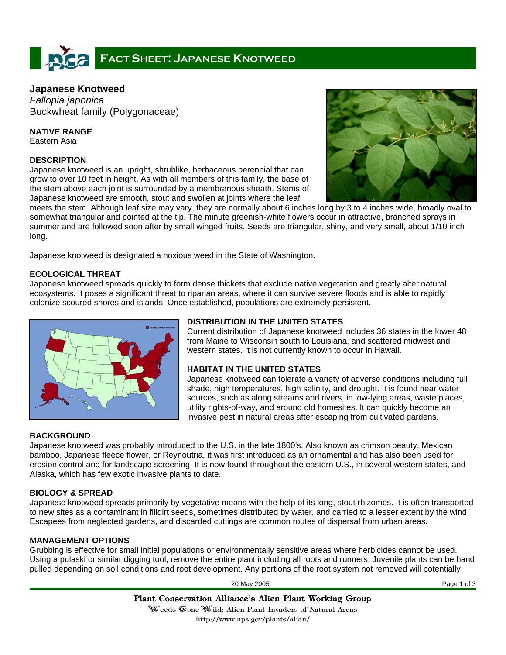# **FACT SHEET: JAPANESE KNOTWEED**

# **Japanese Knotweed**

*Fallopia japonica*  Buckwheat family (Polygonaceae)

**NATIVE RANGE** 

Eastern Asia

#### **DESCRIPTION**

Japanese knotweed is an upright, shrublike, herbaceous perennial that can grow to over 10 feet in height. As with all members of this family, the base of the stem above each joint is surrounded by a membranous sheath. Stems of Japanese knotweed are smooth, stout and swollen at joints where the leaf



meets the stem. Although leaf size may vary, they are normally about 6 inches long by 3 to 4 inches wide, broadly oval to somewhat triangular and pointed at the tip. The minute greenish-white flowers occur in attractive, branched sprays in summer and are followed soon after by small winged fruits. Seeds are triangular, shiny, and very small, about 1/10 inch long.

Japanese knotweed is designated a noxious weed in the State of Washington.

### **ECOLOGICAL THREAT**

Japanese knotweed spreads quickly to form dense thickets that exclude native vegetation and greatly alter natural ecosystems. It poses a significant threat to riparian areas, where it can survive severe floods and is able to rapidly colonize scoured shores and islands. Once established, populations are extremely persistent.



# **DISTRIBUTION IN THE UNITED STATES**

Current distribution of Japanese knotweed includes 36 states in the lower 48 from Maine to Wisconsin south to Louisiana, and scattered midwest and western states. It is not currently known to occur in Hawaii.

# **HABITAT IN THE UNITED STATES**

Japanese knotweed can tolerate a variety of adverse conditions including full shade, high temperatures, high salinity, and drought. It is found near water sources, such as along streams and rivers, in low-lying areas, waste places, utility rights-of-way, and around old homesites. It can quickly become an invasive pest in natural areas after escaping from cultivated gardens.

# **BACKGROUND**

Japanese knotweed was probably introduced to the U.S. in the late 1800's. Also known as crimson beauty, Mexican bamboo, Japanese fleece flower, or Reynoutria, it was first introduced as an ornamental and has also been used for erosion control and for landscape screening. It is now found throughout the eastern U.S., in several western states, and Alaska, which has few exotic invasive plants to date.

# **BIOLOGY & SPREAD**

Japanese knotweed spreads primarily by vegetative means with the help of its long, stout rhizomes. It is often transported to new sites as a contaminant in filldirt seeds, sometimes distributed by water, and carried to a lesser extent by the wind. Escapees from neglected gardens, and discarded cuttings are common routes of dispersal from urban areas.

# **MANAGEMENT OPTIONS**

Grubbing is effective for small initial populations or environmentally sensitive areas where herbicides cannot be used. Using a pulaski or similar digging tool, remove the entire plant including all roots and runners. Juvenile plants can be hand pulled depending on soil conditions and root development. Any portions of the root system not removed will potentially

20 May 2005 Page 1 of 3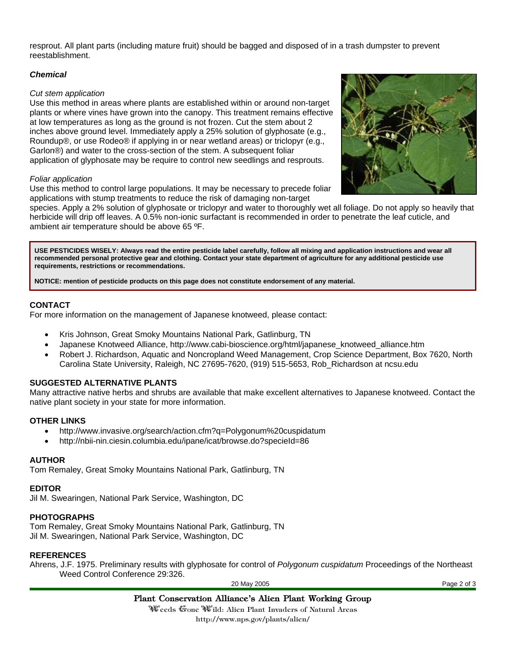resprout. All plant parts (including mature fruit) should be bagged and disposed of in a trash dumpster to prevent reestablishment.

#### *Chemical*

#### *Cut stem application*

Use this method in areas where plants are established within or around non-target plants or where vines have grown into the canopy. This treatment remains effective at low temperatures as long as the ground is not frozen. Cut the stem about 2 inches above ground level. Immediately apply a 25% solution of glyphosate (e.g., Roundup®, or use Rodeo® if applying in or near wetland areas) or triclopyr (e.g., Garlon®) and water to the cross-section of the stem. A subsequent foliar application of glyphosate may be require to control new seedlings and resprouts.

#### *Foliar application*

Use this method to control large populations. It may be necessary to precede foliar applications with stump treatments to reduce the risk of damaging non-target

species. Apply a 2% solution of glyphosate or triclopyr and water to thoroughly wet all foliage. Do not apply so heavily that herbicide will drip off leaves. A 0.5% non-ionic surfactant is recommended in order to penetrate the leaf cuticle, and ambient air temperature should be above 65 ºF.

**USE PESTICIDES WISELY: Always read the entire pesticide label carefully, follow all mixing and application instructions and wear all recommended personal protective gear and clothing. Contact your state department of agriculture for any additional pesticide use requirements, restrictions or recommendations.** 

**NOTICE: mention of pesticide products on this page does not constitute endorsement of any material.**

### **CONTACT**

For more information on the management of Japanese knotweed, please contact:

- Kris Johnson, Great Smoky Mountains National Park, Gatlinburg, TN
- Japanese Knotweed Alliance, http://www.cabi-bioscience.org/html/japanese\_knotweed\_alliance.htm
- Robert J. Richardson, Aquatic and Noncropland Weed Management, Crop Science Department, Box 7620, North Carolina State University, Raleigh, NC 27695-7620, (919) 515-5653, Rob\_Richardson at ncsu.edu

#### **SUGGESTED ALTERNATIVE PLANTS**

Many attractive native herbs and shrubs are available that make excellent alternatives to Japanese knotweed. Contact the native plant society in your state for more information.

#### **OTHER LINKS**

- http://www.invasive.org/search/action.cfm?q=Polygonum%20cuspidatum
- http://nbii-nin.ciesin.columbia.edu/ipane/icat/browse.do?specieId=86

#### **AUTHOR**

Tom Remaley, Great Smoky Mountains National Park, Gatlinburg, TN

#### **EDITOR**

Jil M. Swearingen, National Park Service, Washington, DC

#### **PHOTOGRAPHS**

Tom Remaley, Great Smoky Mountains National Park, Gatlinburg, TN Jil M. Swearingen, National Park Service, Washington, DC

#### **REFERENCES**

Ahrens, J.F. 1975. Preliminary results with glyphosate for control of *Polygonum cuspidatum* Proceedings of the Northeast Weed Control Conference 29:326.

20 May 2005 Page 2 of 3